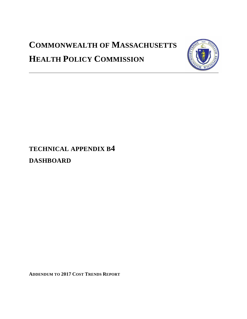# **COMMONWEALTH OF MASSACHUSETTS HEALTH POLICY COMMISSION**



# **TECHNICAL APPENDIX B4 DASHBOARD**

**ADDENDUM TO 2017 COST TRENDS REPORT**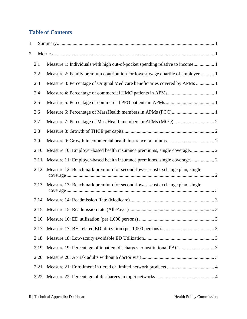# **Table of Contents**

| 1              |      |                                                                                |
|----------------|------|--------------------------------------------------------------------------------|
| $\overline{c}$ |      |                                                                                |
|                | 2.1  |                                                                                |
|                | 2.2  | Measure 2: Family premium contribution for lowest wage quartile of employer  1 |
|                | 2.3  | Measure 3: Percentage of Original Medicare beneficiaries covered by APMs  1    |
|                | 2.4  |                                                                                |
|                | 2.5  |                                                                                |
|                | 2.6  |                                                                                |
|                | 2.7  |                                                                                |
|                | 2.8  |                                                                                |
|                | 2.9  |                                                                                |
|                | 2.10 | Measure 10: Employer-based health insurance premiums, single coverage 2        |
|                | 2.11 | Measure 11: Employer-based health insurance premiums, single coverage 2        |
|                | 2.12 | Measure 12: Benchmark premium for second-lowest-cost exchange plan, single     |
|                | 2.13 | Measure 13: Benchmark premium for second-lowest-cost exchange plan, single     |
|                | 2.14 |                                                                                |
|                | 2.15 |                                                                                |
|                | 2.16 |                                                                                |
|                | 2.17 |                                                                                |
|                | 2.18 |                                                                                |
|                | 2.19 |                                                                                |
|                | 2.20 |                                                                                |
|                | 2.21 |                                                                                |
|                | 2.22 |                                                                                |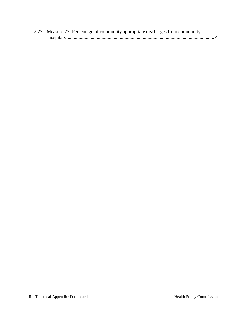| 2.23 Measure 23: Percentage of community appropriate discharges from community |  |
|--------------------------------------------------------------------------------|--|
|                                                                                |  |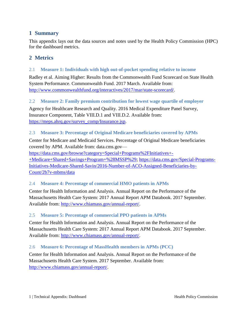## <span id="page-3-0"></span>**1 Summary**

This appendix lays out the data sources and notes used by the Health Policy Commission (HPC) for the dashboard metrics.

### <span id="page-3-1"></span>**2 Metrics**

#### <span id="page-3-2"></span>2.1 **Measure 1: Individuals with high out-of-pocket spending relative to income**

Radley et al. Aiming Higher: Results from the Commonwealth Fund Scorecard on State Health System Performance. Commonwealth Fund. 2017 March. Available from: [http://www.commonwealthfund.org/interactives/2017/mar/state-scorecard/.](http://www.commonwealthfund.org/interactives/2017/mar/state-scorecard/)

#### <span id="page-3-3"></span>2.2 **Measure 2: Family premium contribution for lowest wage quartile of employer**

Agency for Healthcare Research and Quality. 2016 Medical Expenditure Panel Survey, Insurance Component, Table VIII.D.1 and VIII.D.2. Available from: [https://meps.ahrq.gov/survey\\_comp/Insurance.jsp.](https://meps.ahrq.gov/survey_comp/Insurance.jsp)

#### <span id="page-3-4"></span>2.3 **Measure 3: Percentage of Original Medicare beneficiaries covered by APMs**

Center for Medicare and Medicaid Services. Percentage of Original Medicare beneficiaries covered by APM. Available from: data.cms.gov—

[https://data.cms.gov/browse?category=Special+Programs%2FInitiatives+-](https://data.cms.gov/browse?category=Special+Programs%2FInitiatives+-+Medicare+Shared+Savings+Program+%28MSSP%29) [+Medicare+Shared+Savings+Program+%28MSSP%29;](https://data.cms.gov/browse?category=Special+Programs%2FInitiatives+-+Medicare+Shared+Savings+Program+%28MSSP%29) [https://data.cms.gov/Special-Programs-](https://data.cms.gov/Special-Programs-Initiatives-Medicare-Shared-Savin/2016-Number-of-ACO-Assigned-Beneficiaries-by-Count/2b7v-mbms/data)[Initiatives-Medicare-Shared-Savin/2016-Number-of-ACO-Assigned-Beneficiaries-by-](https://data.cms.gov/Special-Programs-Initiatives-Medicare-Shared-Savin/2016-Number-of-ACO-Assigned-Beneficiaries-by-Count/2b7v-mbms/data)[Count/2b7v-mbms/data](https://data.cms.gov/Special-Programs-Initiatives-Medicare-Shared-Savin/2016-Number-of-ACO-Assigned-Beneficiaries-by-Count/2b7v-mbms/data)

#### <span id="page-3-5"></span>2.4 **Measure 4: Percentage of commercial HMO patients in APMs**

Center for Health Information and Analysis. Annual Report on the Performance of the Massachusetts Health Care System: 2017 Annual Report APM Databook. 2017 September. Available from: [http://www.chiamass.gov/annual-report/.](http://www.chiamass.gov/annual-report/)

#### <span id="page-3-6"></span>2.5 **Measure 5: Percentage of commercial PPO patients in APMs**

Center for Health Information and Analysis. Annual Report on the Performance of the Massachusetts Health Care System: 2017 Annual Report APM Databook. 2017 September. Available from: [http://www.chiamass.gov/annual-report/.](http://www.chiamass.gov/annual-report/)

#### <span id="page-3-7"></span>2.6 **Measure 6: Percentage of MassHealth members in APMs (PCC)**

Center for Health Information and Analysis. Annual Report on the Performance of the Massachusetts Health Care System. 2017 September. Available from: [http://www.chiamass.gov/annual-report/.](http://www.chiamass.gov/annual-report/)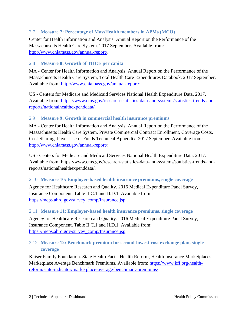#### <span id="page-4-0"></span>2.7 **Measure 7: Percentage of MassHealth members in APMs (MCO)**

Center for Health Information and Analysis. Annual Report on the Performance of the Massachusetts Health Care System. 2017 September. Available from: [http://www.chiamass.gov/annual-report/.](http://www.chiamass.gov/annual-report/)

#### <span id="page-4-1"></span>2.8 **Measure 8: Growth of THCE per capita**

MA - Center for Health Information and Analysis. Annual Report on the Performance of the Massachusetts Health Care System, Total Health Care Expenditures Databook. 2017 September. Available from: [http://www.chiamass.gov/annual-report/;](http://www.chiamass.gov/annual-report/)

US - Centers for Medicare and Medicaid Services National Health Expenditure Data. 2017. Available from: [https://www.cms.gov/research-statistics-data-and-systems/statistics-trends-and](https://www.cms.gov/research-statistics-data-and-systems/statistics-trends-and-reports/nationalhealthexpenddata/)[reports/nationalhealthexpenddata/.](https://www.cms.gov/research-statistics-data-and-systems/statistics-trends-and-reports/nationalhealthexpenddata/)

#### <span id="page-4-2"></span>2.9 **Measure 9: Growth in commercial health insurance premiums**

MA - Center for Health Information and Analysis. Annual Report on the Performance of the Massachusetts Health Care System, Private Commercial Contract Enrollment, Coverage Costs, Cost-Sharing, Payer Use of Funds Technical Appendix. 2017 September. Available from: [http://www.chiamass.gov/annual-report/;](http://www.chiamass.gov/annual-report/)

US - Centers for Medicare and Medicaid Services National Health Expenditure Data. 2017. Available from: https://www.cms.gov/research-statistics-data-and-systems/statistics-trends-andreports/nationalhealthexpenddata/.

#### <span id="page-4-3"></span>2.10 **Measure 10: Employer-based health insurance premiums, single coverage**

Agency for Healthcare Research and Quality. 2016 Medical Expenditure Panel Survey, Insurance Component, Table II.C.1 and II.D.1. Available from: [https://meps.ahrq.gov/survey\\_comp/Insurance.jsp.](https://meps.ahrq.gov/survey_comp/Insurance.jsp)

#### <span id="page-4-4"></span>2.11 **Measure 11: Employer-based health insurance premiums, single coverage**

Agency for Healthcare Research and Quality. 2016 Medical Expenditure Panel Survey, Insurance Component, Table II.C.1 and II.D.1. Available from: [https://meps.ahrq.gov/survey\\_comp/Insurance.jsp.](https://meps.ahrq.gov/survey_comp/Insurance.jsp)

#### <span id="page-4-5"></span>2.12 **Measure 12: Benchmark premium for second-lowest-cost exchange plan, single coverage**

Kaiser Family Foundation. State Health Facts, Health Reform, Health Insurance Marketplaces, Marketplace Average Benchmark Premiums. Available from: [https://www.kff.org/health](https://www.kff.org/health-reform/state-indicator/marketplace-average-benchmark-premiums/)[reform/state-indicator/marketplace-average-benchmark-premiums/.](https://www.kff.org/health-reform/state-indicator/marketplace-average-benchmark-premiums/)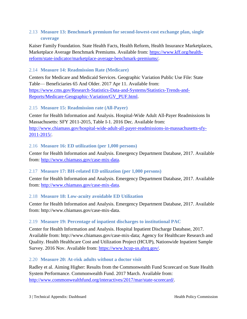#### <span id="page-5-0"></span>2.13 **Measure 13: Benchmark premium for second-lowest-cost exchange plan, single coverage**

Kaiser Family Foundation. State Health Facts, Health Reform, Health Insurance Marketplaces, Marketplace Average Benchmark Premiums. Available from: [https://www.kff.org/health](https://www.kff.org/health-reform/state-indicator/marketplace-average-benchmark-premiums/)[reform/state-indicator/marketplace-average-benchmark-premiums/.](https://www.kff.org/health-reform/state-indicator/marketplace-average-benchmark-premiums/)

#### <span id="page-5-1"></span>2.14 **Measure 14: Readmission Rate (Medicare)**

Centers for Medicare and Medicaid Services. Geographic Variation Public Use File: State Table— Beneficiaries 65 And Older. 2017 Apr 11. Available from: [https://www.cms.gov/Research-Statistics-Data-and-Systems/Statistics-Trends-and-](https://www.cms.gov/Research-Statistics-Data-and-Systems/Statistics-Trends-and-Reports/Medicare-Geographic-Variation/GV_PUF.html)[Reports/Medicare-Geographic-Variation/GV\\_PUF.html.](https://www.cms.gov/Research-Statistics-Data-and-Systems/Statistics-Trends-and-Reports/Medicare-Geographic-Variation/GV_PUF.html)

#### <span id="page-5-2"></span>2.15 **Measure 15: Readmission rate (All-Payer)**

Center for Health Information and Analysis. Hospital-Wide Adult All-Payer Readmissions In Massachusetts: SFY 2011-2015, Table I-1. 2016 Dec. Available from: [http://www.chiamass.gov/hospital-wide-adult-all-payer-readmissions-in-massachusetts-sfy-](http://www.chiamass.gov/hospital-wide-adult-all-payer-readmissions-in-massachusetts-sfy-2011-2015/)[2011-2015/.](http://www.chiamass.gov/hospital-wide-adult-all-payer-readmissions-in-massachusetts-sfy-2011-2015/)

#### <span id="page-5-3"></span>2.16 **Measure 16: ED utilization (per 1,000 persons)**

Center for Health Information and Analysis. Emergency Department Database, 2017. Available from: [http://www.chiamass.gov/case-mix-data.](http://www.chiamass.gov/case-mix-data)

#### <span id="page-5-4"></span>2.17 **Measure 17: BH-related ED utilization (per 1,000 persons)**

Center for Health Information and Analysis. Emergency Department Database, 2017. Available from: [http://www.chiamass.gov/case-mix-data.](http://www.chiamass.gov/case-mix-data)

#### <span id="page-5-5"></span>2.18 **Measure 18: Low-acuity avoidable ED Utilization**

Center for Health Information and Analysis. Emergency Department Database, 2017. Available from: http://www.chiamass.gov/case-mix-data.

#### <span id="page-5-6"></span>2.19 **Measure 19: Percentage of inpatient discharges to institutional PAC**

Center for Health Information and Analysis. Hospital Inpatient Discharge Database, 2017. Available from: http://www.chiamass.gov/case-mix-data; Agency for Healthcare Research and Quality. Health Healthcare Cost and Utilization Project (HCUP), Nationwide Inpatient Sample Survey. 2016 Nov. Available from: [https://www.hcup-us.ahrq.gov/.](https://www.hcup-us.ahrq.gov/)

#### <span id="page-5-7"></span>2.20 **Measure 20: At-risk adults without a doctor visit**

Radley et al. Aiming Higher: Results from the Commonwealth Fund Scorecard on State Health System Performance. Commonwealth Fund. 2017 March. Available from: [http://www.commonwealthfund.org/interactives/2017/mar/state-scorecard/.](http://www.commonwealthfund.org/interactives/2017/mar/state-scorecard/)